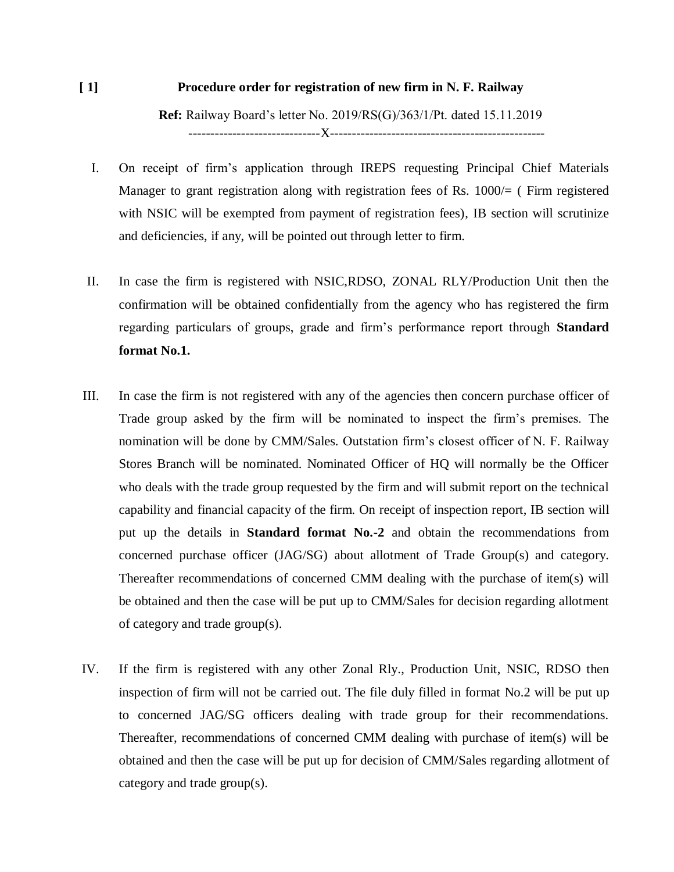# **[ 1] Procedure order for registration of new firm in N. F. Railway**

**Ref:** Railway Board's letter No. 2019/RS(G)/363/1/Pt. dated 15.11.2019 ------------------------------X-------------------------------------------------

- I. On receipt of firm's application through IREPS requesting Principal Chief Materials Manager to grant registration along with registration fees of Rs. 1000/= ( Firm registered with NSIC will be exempted from payment of registration fees), IB section will scrutinize and deficiencies, if any, will be pointed out through letter to firm.
- II. In case the firm is registered with NSIC,RDSO, ZONAL RLY/Production Unit then the confirmation will be obtained confidentially from the agency who has registered the firm regarding particulars of groups, grade and firm's performance report through **Standard format No.1.**
- III. In case the firm is not registered with any of the agencies then concern purchase officer of Trade group asked by the firm will be nominated to inspect the firm's premises. The nomination will be done by CMM/Sales. Outstation firm's closest officer of N. F. Railway Stores Branch will be nominated. Nominated Officer of HQ will normally be the Officer who deals with the trade group requested by the firm and will submit report on the technical capability and financial capacity of the firm. On receipt of inspection report, IB section will put up the details in **Standard format No.-2** and obtain the recommendations from concerned purchase officer (JAG/SG) about allotment of Trade Group(s) and category. Thereafter recommendations of concerned CMM dealing with the purchase of item(s) will be obtained and then the case will be put up to CMM/Sales for decision regarding allotment of category and trade group(s).
- IV. If the firm is registered with any other Zonal Rly., Production Unit, NSIC, RDSO then inspection of firm will not be carried out. The file duly filled in format No.2 will be put up to concerned JAG/SG officers dealing with trade group for their recommendations. Thereafter, recommendations of concerned CMM dealing with purchase of item(s) will be obtained and then the case will be put up for decision of CMM/Sales regarding allotment of category and trade group(s).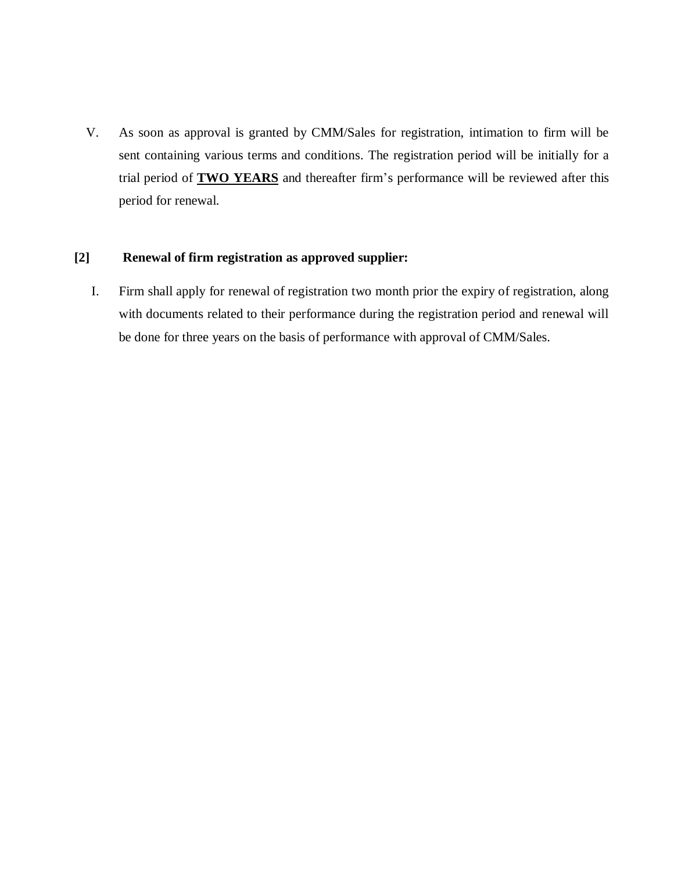V. As soon as approval is granted by CMM/Sales for registration, intimation to firm will be sent containing various terms and conditions. The registration period will be initially for a trial period of **TWO YEARS** and thereafter firm's performance will be reviewed after this period for renewal.

### **[2] Renewal of firm registration as approved supplier:**

I. Firm shall apply for renewal of registration two month prior the expiry of registration, along with documents related to their performance during the registration period and renewal will be done for three years on the basis of performance with approval of CMM/Sales.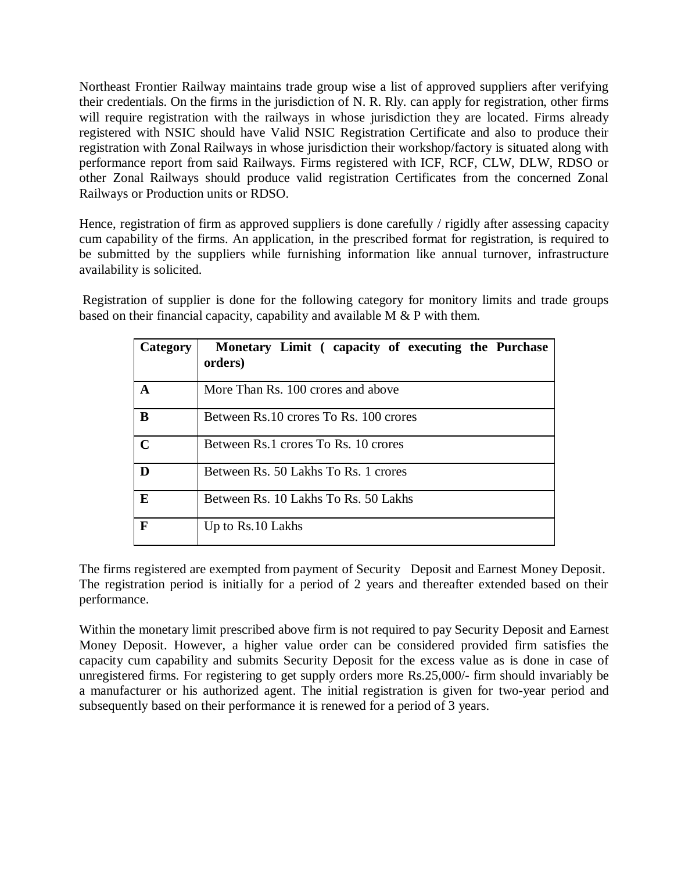Northeast Frontier Railway maintains trade group wise a list of approved suppliers after verifying their credentials. On the firms in the jurisdiction of N. R. Rly. can apply for registration, other firms will require registration with the railways in whose jurisdiction they are located. Firms already registered with NSIC should have Valid NSIC Registration Certificate and also to produce their registration with Zonal Railways in whose jurisdiction their workshop/factory is situated along with performance report from said Railways. Firms registered with ICF, RCF, CLW, DLW, RDSO or other Zonal Railways should produce valid registration Certificates from the concerned Zonal Railways or Production units or RDSO.

Hence, registration of firm as approved suppliers is done carefully / rigidly after assessing capacity cum capability of the firms. An application, in the prescribed format for registration, is required to be submitted by the suppliers while furnishing information like annual turnover, infrastructure availability is solicited.

Registration of supplier is done for the following category for monitory limits and trade groups based on their financial capacity, capability and available M & P with them.

| <b>Category</b> | Monetary Limit (capacity of executing the Purchase<br>orders) |
|-----------------|---------------------------------------------------------------|
| A               | More Than Rs. 100 crores and above                            |
| B               | Between Rs.10 crores To Rs. 100 crores                        |
| $\mathbf C$     | Between Rs.1 crores To Rs. 10 crores                          |
| D               | Between Rs. 50 Lakhs To Rs. 1 crores                          |
| E               | Between Rs. 10 Lakhs To Rs. 50 Lakhs                          |
| F               | Up to Rs.10 Lakhs                                             |

The firms registered are exempted from payment of Security Deposit and Earnest Money Deposit. The registration period is initially for a period of 2 years and thereafter extended based on their performance.

Within the monetary limit prescribed above firm is not required to pay Security Deposit and Earnest Money Deposit. However, a higher value order can be considered provided firm satisfies the capacity cum capability and submits Security Deposit for the excess value as is done in case of unregistered firms. For registering to get supply orders more Rs.25,000/- firm should invariably be a manufacturer or his authorized agent. The initial registration is given for two-year period and subsequently based on their performance it is renewed for a period of 3 years.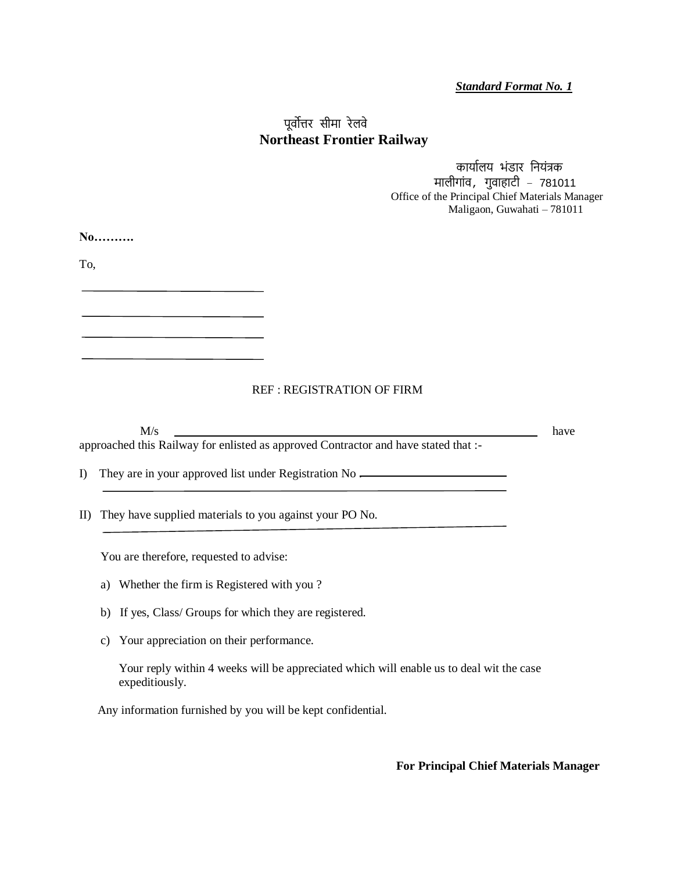*Standard Format No. 1*

## पूर्वोत्तर सीमा रेलर्वे  **Northeast Frontier Railway**

 कार्ाालर् भंडार निर्ंत्रक मालीगांर्व, गुर्वाहाटी – 781011 Office of the Principal Chief Materials Manager Maligaon, Guwahati – 781011

**No……….**

To,

#### REF : REGISTRATION OF FIRM

|          | M/s                                                                                 | have |
|----------|-------------------------------------------------------------------------------------|------|
|          | approached this Railway for enlisted as approved Contractor and have stated that :- |      |
| $\Gamma$ | They are in your approved list under Registration No —                              |      |
|          |                                                                                     |      |
| ID.      | They have supplied materials to you against your PO No.                             |      |
|          |                                                                                     |      |
|          | You are therefore, requested to advise:                                             |      |
|          | Whether the firm is Registered with you?<br>a)                                      |      |
|          | b) If yes, Class/ Groups for which they are registered.                             |      |

c) Your appreciation on their performance.

 Your reply within 4 weeks will be appreciated which will enable us to deal wit the case expeditiously.

Any information furnished by you will be kept confidential.

**For Principal Chief Materials Manager**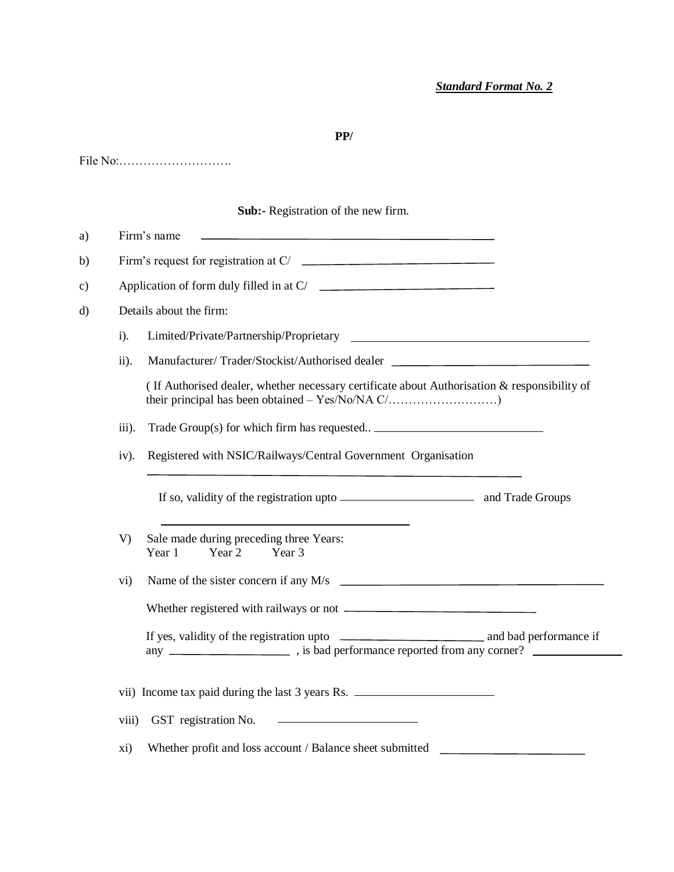## **PP/**

File No:……………………….

## **Sub:-** Registration of the new firm.

|        | Details about the firm:                                                                      |  |
|--------|----------------------------------------------------------------------------------------------|--|
| $i$ ). |                                                                                              |  |
| ii).   | Manufacturer/Trader/Stockist/Authorised dealer                                               |  |
|        | (If Authorised dealer, whether necessary certificate about Authorisation & responsibility of |  |
| iii).  | Trade Group(s) for which firm has requested __________________________________               |  |
| iv).   | Registered with NSIC/Railways/Central Government Organisation                                |  |
|        |                                                                                              |  |
| V)     | Sale made during preceding three Years:<br>Year 1<br>Year 2<br>Year 3                        |  |
| vi)    | Name of the sister concern if any $M/s$                                                      |  |
|        |                                                                                              |  |
|        |                                                                                              |  |
|        | vii) Income tax paid during the last 3 years Rs.                                             |  |
| viii)  | GST registration No.                                                                         |  |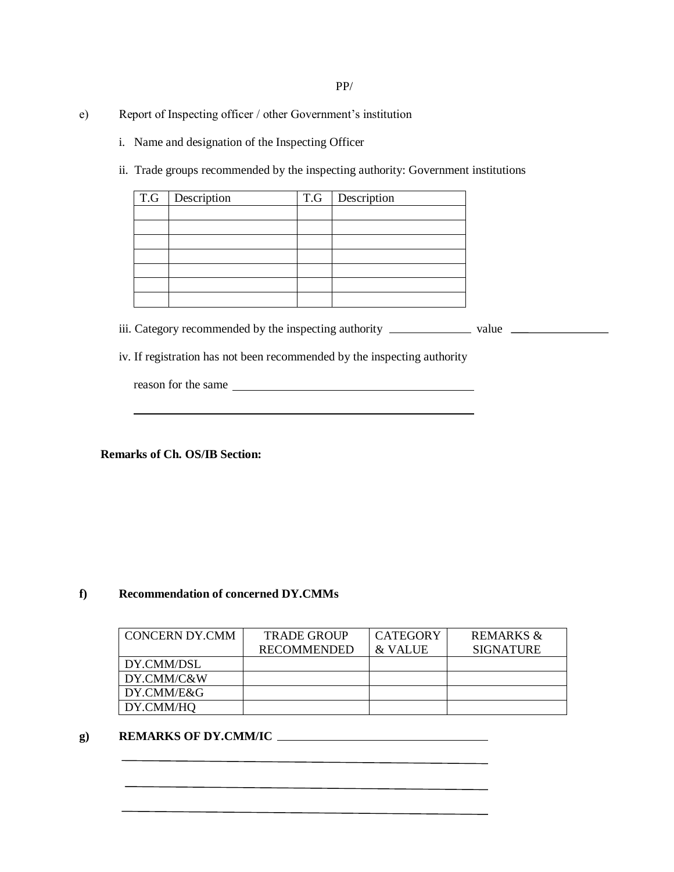- e) Report of Inspecting officer / other Government's institution
	- i. Name and designation of the Inspecting Officer
	- ii. Trade groups recommended by the inspecting authority: Government institutions

| T.G   Description | T.G   Description |
|-------------------|-------------------|
|                   |                   |
|                   |                   |
|                   |                   |
|                   |                   |
|                   |                   |
|                   |                   |
|                   |                   |

iii. Category recommended by the inspecting authority value

iv. If registration has not been recommended by the inspecting authority

| reason for the same |  |
|---------------------|--|
|                     |  |

 **Remarks of Ch. OS/IB Section:**

#### **f) Recommendation of concerned DY.CMMs**

| <b>CONCERN DY.CMM</b> | <b>TRADE GROUP</b> | <b>CATEGORY</b> | REMARKS &        |
|-----------------------|--------------------|-----------------|------------------|
|                       | <b>RECOMMENDED</b> | & VALUE         | <b>SIGNATURE</b> |
| DY.CMM/DSL            |                    |                 |                  |
| DY.CMM/C&W            |                    |                 |                  |
| DY.CMM/E&G            |                    |                 |                  |
| DY.CMM/HO             |                    |                 |                  |

#### **g) REMARKS OF DY.CMM/IC**